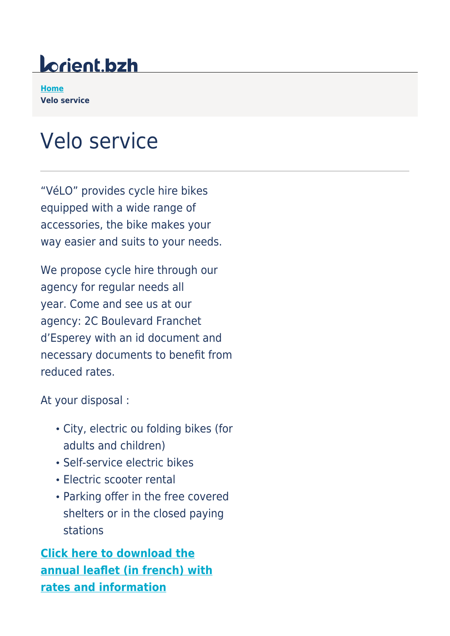## lorient.bzh

**[Home](https://www.lorient.bzh/en) Velo service**

## Velo service

"VéLO" provides cycle hire bikes equipped with a wide range of accessories, the bike makes your way easier and suits to your needs.

We propose cycle hire through our agency for regular needs all year. Come and see us at our agency: 2C Boulevard Franchet d'Esperey with an id document and necessary documents to benefit from reduced rates.

At your disposal :

- City, electric ou folding bikes (for adults and children)
- Self-service electric bikes
- Electric scooter rental
- Parking offer in the free covered shelters or in the closed paying stations

**[Click here to download the](https://www.lorient.bzh/fileadmin/lorient.bzh/territoires/Mobilites/velo/depliant_velo_2022.pdf) [annual leaflet \(in french\) with](https://www.lorient.bzh/fileadmin/lorient.bzh/territoires/Mobilites/velo/depliant_velo_2022.pdf) [rates and information](https://www.lorient.bzh/fileadmin/lorient.bzh/territoires/Mobilites/velo/depliant_velo_2022.pdf)**